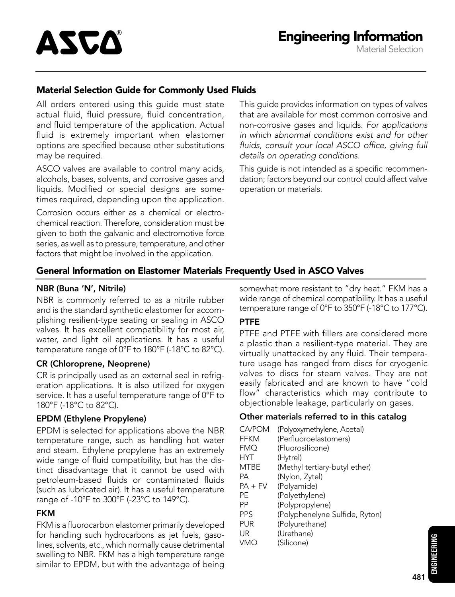#### Material Selection Guide for Commonly Used Fluids

All orders entered using this guide must state actual fluid, fluid pressure, fluid concentration, and fluid temperature of the application. Actual fluid is extremely important when elastomer options are specified because other substitutions may be required.

ASCO valves are available to control many acids, alcohols, bases, solvents, and corrosive gases and liquids. Modified or special designs are sometimes required, depending upon the application.

Corrosion occurs either as a chemical or electrochemical reaction. Therefore, consideration must be given to both the galvanic and electromotive force series, as well as to pressure, temperature, and other factors that might be involved in the application.

This guide provides information on types of valves that are available for most common corrosive and non-corrosive gases and liquids. For applications in which abnormal conditions exist and for other fluids, consult your local ASCO office, giving full details on operating conditions.

This guide is not intended as a specific recommendation; factors beyond our control could affect valve operation or materials.

#### General Information on Elastomer Materials Frequently Used in ASCO Valves

#### NBR (Buna 'N', Nitrile)

NBR is commonly referred to as a nitrile rubber and is the standard synthetic elastomer for accomplishing resilient-type seating or sealing in ASCO valves. It has excellent compatibility for most air, water, and light oil applications. It has a useful temperature range of 0°F to 180°F (-18°C to 82°C).

#### CR (Chloroprene, Neoprene)

CR is principally used as an external seal in refrigeration applications. It is also utilized for oxygen service. It has a useful temperature range of 0°F to 180°F (-18°C to 82°C).

#### EPDM (Ethylene Propylene)

EPDM is selected for applications above the NBR temperature range, such as handling hot water and steam. Ethylene propylene has an extremely wide range of fluid compatibility, but has the distinct disadvantage that it cannot be used with petroleum-based fluids or contaminated fluids (such as lubricated air). It has a useful temperature range of -10°F to 300°F (-23°C to 149°C).

#### FKM

FKM is a fluorocarbon elastomer primarily developed for handling such hydrocarbons as jet fuels, gasolines, solvents, etc., which normally cause detrimental swelling to NBR. FKM has a high temperature range similar to EPDM, but with the advantage of being somewhat more resistant to "dry heat." FKM has a wide range of chemical compatibility. It has a useful temperature range of  $0^{\circ}$ F to 350 $^{\circ}$ F (-18 $^{\circ}$ C to 177 $^{\circ}$ C).

#### PTFE

PTFE and PTFE with fillers are considered more a plastic than a resilient-type material. They are virtually unattacked by any fluid. Their temperature usage has ranged from discs for cryogenic valves to discs for steam valves. They are not easily fabricated and are known to have "cold flow" characteristics which may contribute to objectionable leakage, particularly on gases.

#### Other materials referred to in this catalog

| CA/POM<br>FFKM | (Polyoxymethylene, Acetal)<br>(Perfluoroelastomers) |
|----------------|-----------------------------------------------------|
| FMO            | (Fluorosilicone)                                    |
|                |                                                     |
| HYT            | (Hytrel)                                            |
| MTBF           | (Methyl tertiary-butyl ether)                       |
| PА             | (Nylon, Zytel)                                      |
| $PA + FV$      | (Polyamide)                                         |
| РF             | (Polyethylene)                                      |
| РP             | (Polypropylene)                                     |
| <b>PPS</b>     | (Polyphenelyne Sulfide, Ryton)                      |
| PUR            | (Polyurethane)                                      |
| UR             | (Urethane)                                          |
| VMO            | (Silicone)                                          |
|                |                                                     |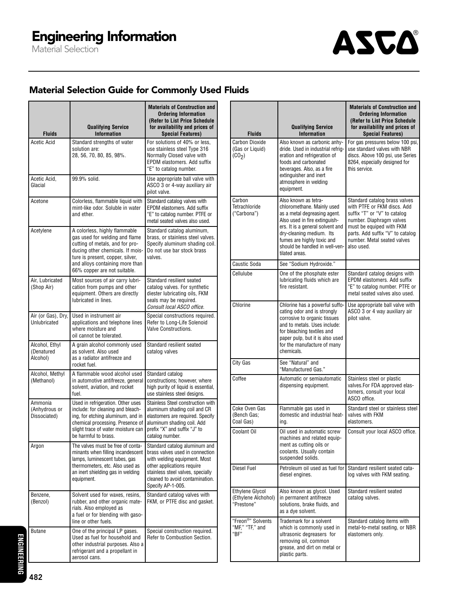

### Material Selection Guide for Commonly Used Fluids

| <b>Fluids</b>                            | <b>Qualifying Service</b><br><b>Information</b>                                                                                                                                                                                               | <b>Materials of Construction and</b><br><b>Ordering Information</b><br>(Refer to List Price Schedule<br>for availability and prices of<br><b>Special Features)</b>                                                          |
|------------------------------------------|-----------------------------------------------------------------------------------------------------------------------------------------------------------------------------------------------------------------------------------------------|-----------------------------------------------------------------------------------------------------------------------------------------------------------------------------------------------------------------------------|
| Acetic Acid                              | Standard strengths of water<br>solution are:<br>28, 56, 70, 80, 85, 98%.                                                                                                                                                                      | For solutions of 40% or less.<br>use stainless steel Type 316<br>Normally Closed valve with<br>EPDM elastomers. Add suffix<br>"E" to catalog number.                                                                        |
| Acetic Acid,<br>Glacial                  | 99.9% solid.                                                                                                                                                                                                                                  | Use appropriate ball valve with<br>ASCO 3 or 4-way auxiliary air<br>pilot valve.                                                                                                                                            |
| Acetone                                  | Colorless, flammable liquid with<br>mint-like odor. Soluble in water<br>and ether.                                                                                                                                                            | Standard catalog valves with<br>EPDM elastomers. Add suffix<br>"E" to catalog number. PTFE or<br>metal seated valves also used.                                                                                             |
| Acetylene                                | A colorless, highly flammable<br>gas used for welding and flame<br>cutting of metals, and for pro-<br>ducing other chemicals. If mois-<br>ture is present, copper, silver,<br>and alloys containing more than<br>66% copper are not suitable. | Standard catalog aluminum,<br>brass, or stainless steel valves.<br>Specify aluminum shading coil.<br>Do not use bar stock brass<br>valves.                                                                                  |
| Air. Lubricated<br>(Shop Air)            | Most sources of air carry lubri-<br>cation from pumps and other<br>equipment. Others are directly<br>lubricated in lines.                                                                                                                     | Standard resilient seated<br>catalog valves. For synthetic<br>diester lubricating oils, FKM<br>seals may be required.<br>Consult local ASCO office.                                                                         |
| Air (or Gas), Dry,<br>Unlubricated       | Used in instrument air<br>applications and telephone lines<br>where moisture and<br>oil cannot be tolerated.                                                                                                                                  | Special constructions required.<br>Refer to Long-Life Solenoid<br>Valve Constructions.                                                                                                                                      |
| Alcohol, Ethyl<br>(Denatured<br>Alcohol) | A grain alcohol commonly used<br>as solvent. Also used<br>as a radiator antifreeze and<br>rocket fuel.                                                                                                                                        | Standard resilient seated<br>catalog valves                                                                                                                                                                                 |
| Alcohol, Methyl<br>(Methanol)            | A flammable wood alcohol used<br>in automotive antifreeze, general<br>solvent, aviation, and rocket<br>fuel.                                                                                                                                  | Standard catalog<br>constructions; however, where<br>high purity of liquid is essential,<br>use stainless steel designs.                                                                                                    |
| Ammonia<br>(Anhydrous or<br>Dissociated) | Used in refrigeration. Other uses<br>include: for cleaning and bleach-<br>ing, for etching aluminum, and in<br>chemical processing. Presence of<br>slight trace of water moisture can<br>be harmful to brass.                                 | Stainless Steel construction with<br>aluminum shading coil and CR<br>elastomers are required. Specify<br>aluminum shading coil. Add<br>prefix "X" and suffix "J" to<br>catalog number.                                      |
| Argon                                    | The valves must be free of conta-<br>minants when filling incandescent<br>lamps, luminescent tubes, gas<br>thermometers, etc. Also used as<br>an inert shielding gas in welding<br>equipment.                                                 | Standard catalog aluminum and<br>brass valves used in connection<br>with welding equipment. Most<br>other applications require<br>stainless steel valves, specially<br>cleaned to avoid contamination.<br>Specify AP-1-005. |
| Benzene,<br>(Benzol)                     | Solvent used for waxes, resins,<br>rubber, and other organic mate-<br>rials. Also employed as<br>a fuel or for blending with gaso-<br>line or other fuels.                                                                                    | Standard catalog valves with<br>FKM, or PTFE disc and gasket.                                                                                                                                                               |
| <b>Butane</b>                            | One of the principal LP gases.<br>Used as fuel for household and<br>other industrial purposes. Also a<br>refrigerant and a propellant in<br>aerosol cans.                                                                                     | Special construction required.<br>Refer to Combustion Section.                                                                                                                                                              |

| <b>Fluids</b>                                                  | <b>Qualifying Service</b><br><b>Information</b>                                                                                                                                                                                                                       | <b>Materials of Construction and</b><br><b>Ordering Information</b><br>(Refer to List Price Schedule<br>for availability and prices of<br><b>Special Features)</b>                                                                    |
|----------------------------------------------------------------|-----------------------------------------------------------------------------------------------------------------------------------------------------------------------------------------------------------------------------------------------------------------------|---------------------------------------------------------------------------------------------------------------------------------------------------------------------------------------------------------------------------------------|
| <b>Carbon Dioxide</b><br>(Gas or Liquid)<br>(CO <sub>2</sub> ) | Also known as carbonic anhy-<br>dride. Used in industrial refrig-<br>eration and refrigeration of<br>foods and carbonated<br>beverages. Also, as a fire<br>extinguisher and inert<br>atmosphere in welding<br>equipment.                                              | For gas pressures below 100 psi,<br>use standard valves with NBR<br>discs. Above 100 psi, use Series<br>8264, especially designed for<br>this service.                                                                                |
| Carbon<br>Tetrachloride<br>("Carbona")                         | Also known as tetra-<br>chloromethane. Mainly used<br>as a metal degreasing agent.<br>Also used in fire extinguish-<br>ers. It is a general solvent and<br>dry-cleaning medium. Its<br>fumes are highly toxic and<br>should be handled in well-ven-<br>tilated areas. | Standard catalog brass valves<br>with PTFE or FKM discs. Add<br>suffix "T" or "V" to catalog<br>number. Diaphragm valves<br>must be equiped with FKM<br>parts. Add suffix "V" to catalog<br>number. Metal seated valves<br>also used. |
| <b>Caustic Soda</b>                                            | See "Sodium Hydroxide."                                                                                                                                                                                                                                               |                                                                                                                                                                                                                                       |
| Cellulube                                                      | One of the phosphate ester<br>lubricating fluids which are<br>fire resistant                                                                                                                                                                                          | Standard catalog designs with<br>EPDM elastomers. Add suffix<br>"E" to catalog number, PTFE or<br>metal seated valves also used.                                                                                                      |
| Chlorine                                                       | Chlorine has a powerful suffo-<br>cating odor and is strongly<br>corrosive to organic tissues<br>and to metals. Uses include:<br>for bleaching textiles and<br>paper pulp, but it is also used<br>for the manufacture of many<br>chemicals.                           | Use appropriate ball valve with<br>ASCO 3 or 4 way auxiliary air<br>pilot valve.                                                                                                                                                      |
| City Gas                                                       | See "Natural" and<br>"Manufactured Gas."                                                                                                                                                                                                                              |                                                                                                                                                                                                                                       |
| Coffee                                                         | Automatic or semiautomatic<br>dispensing equipment.                                                                                                                                                                                                                   | Stainless steel or plastic<br>valves.For FDA approved elas-<br>tomers, consult your local<br>ASCO office.                                                                                                                             |
| Coke Oven Gas<br>(Bench Gas;<br>Coal Gas)                      | Flammable gas used in<br>domestic and industrial heat-<br>ing.                                                                                                                                                                                                        | Standard steel or stainless steel<br>valves with FKM<br>elastomers.                                                                                                                                                                   |
| Coolant Oil                                                    | Oil used in automatic screw<br>machines and related equip-<br>ment as cutting oils or<br>coolants. Usually contain<br>suspended solids.                                                                                                                               | Consult your local ASCO office.                                                                                                                                                                                                       |
| Diesel Fuel                                                    | Petroleum oil used as fuel for<br>diesel engines.                                                                                                                                                                                                                     | Standard resilient seated cata-<br>log valves with FKM seating.                                                                                                                                                                       |
| Ethylene Glycol<br>(Ethylene Alchohol)<br>"Prestone"           | Also known as glycol. Used<br>in permanent antifreeze<br>solutions, brake fluids, and<br>as a dye solvent.                                                                                                                                                            | Standard resilient seated<br>catalog valves.                                                                                                                                                                                          |
| "Freon <sup>®</sup> " Solvents<br>"MF," "TF," and<br>"BF"      | Trademark for a solvent<br>which is commonly used in<br>ultrasonic degreasers for<br>removing oil, common<br>grease, and dirt on metal or<br>plastic parts.                                                                                                           | Standard catalog items with<br>metal-to-metal seating, or NBR<br>elastomers only.                                                                                                                                                     |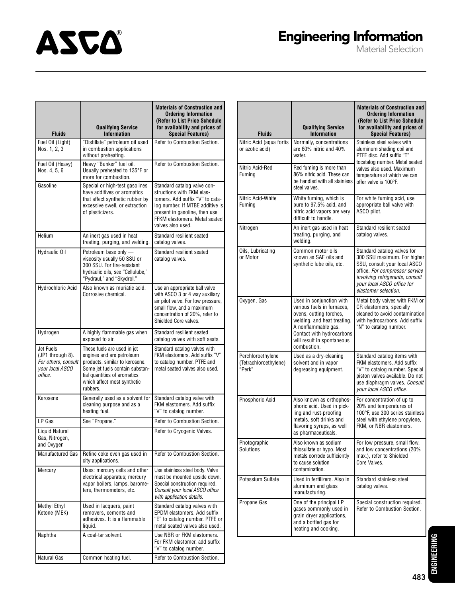# **ASCA**

## Engineering Information

Material Selection

| <b>Fluids</b>                                                                      | <b>Qualifying Service</b><br><b>Information</b>                                                                                                                                                          | <b>Materials of Construction and</b><br><b>Ordering Information</b><br>(Refer to List Price Schedule<br>for availability and prices of<br><b>Special Features)</b>                                                    |
|------------------------------------------------------------------------------------|----------------------------------------------------------------------------------------------------------------------------------------------------------------------------------------------------------|-----------------------------------------------------------------------------------------------------------------------------------------------------------------------------------------------------------------------|
| Fuel Oil (Light)<br>Nos. 1, 2, 3                                                   | "Distillate" petroleum oil used<br>in combustion applications<br>without preheating.                                                                                                                     | Refer to Combustion Section.                                                                                                                                                                                          |
| Fuel Oil (Heavy)<br>Nos. 4, 5, 6                                                   | Heavy "Bunker" fuel oil.<br>Usually preheated to 135°F or<br>more for combustion.                                                                                                                        | Refer to Combustion Section.                                                                                                                                                                                          |
| Gasoline                                                                           | Special or high-test gasolines<br>have additives or aromatics<br>that affect synthetic rubber by<br>excessive swell, or extraction<br>of plasticizers.                                                   | Standard catalog valve con-<br>structions with FKM elas-<br>tomers. Add suffix "V" to cata-<br>log number. If MTBE additive is<br>present in gasoline, then use<br>FFKM elastomers. Metal seated<br>valves also used. |
| Helium                                                                             | An inert gas used in heat<br>treating, purging, and welding.                                                                                                                                             | Standard resilient seated<br>catalog valves.                                                                                                                                                                          |
| Hydraulic Oil                                                                      | Petroleum base only -<br>viscosity usually 50 SSU or<br>300 SSU. For fire-resistant<br>hydraulic oils, see "Cellulube,"<br>"Pydraul," and "Skydrol."                                                     | Standard resilient seated<br>catalog valves.                                                                                                                                                                          |
| Hydrochloric Acid                                                                  | Also known as muriatic acid.<br>Corrosive chemical.                                                                                                                                                      | Use an appropriate ball valve<br>with ASCO 3 or 4 way auxiliary<br>air pilot valve. For low pressure,<br>small flow, and a maximum<br>concentration of 20%, refer to<br>Shielded Core valves.                         |
| Hydrogen                                                                           | A highly flammable gas when<br>exposed to air.                                                                                                                                                           | Standard resilient seated<br>catalog valves with soft seats.                                                                                                                                                          |
| Jet Fuels<br>(JP1 through 8).<br>For others, consult<br>vour local ASCO<br>office. | These fuels are used in jet<br>engines and are petroleum<br>products, similar to kerosene.<br>Some jet fuels contain substan-<br>tial quantities of aromatics<br>which affect most synthetic<br>rubbers. | Standard catalog valves with<br>FKM elastomers. Add suffix "V"<br>to catalog number. PTFE and<br>metal seated valves also used.                                                                                       |
| Kerosene                                                                           | Generally used as a solvent for<br>cleaning purpose and as a<br>heating fuel.                                                                                                                            | Standard catalog valve with<br>FKM elastomers. Add suffix<br>"V" to catalog number.                                                                                                                                   |
| LP Gas                                                                             | See "Propane."                                                                                                                                                                                           | Refer to Combustion Section.                                                                                                                                                                                          |
| Liquid Natural<br>Gas, Nitrogen,<br>and Oxygen                                     |                                                                                                                                                                                                          | Refer to Cryogenic Valves.                                                                                                                                                                                            |
|                                                                                    | Manufactured Gas   Refine coke oven gas used in<br>city applications.                                                                                                                                    | Refer to Combustion Section.                                                                                                                                                                                          |
| Mercury                                                                            | Uses: mercury cells and other<br>electrical apparatus; mercury<br>vapor boilers, lamps, barome-<br>ters, thermometers, etc.                                                                              | Use stainless steel body. Valve<br>must be mounted upside down.<br>Special construction required.<br>Consult your local ASCO office<br>with application details.                                                      |
| Methyl Ethyl<br>Ketone (MEK)                                                       | Used in lacquers, paint<br>removers, cements and<br>adhesives. It is a flammable<br>liquid.                                                                                                              | Standard catalog valves with<br>EPDM elastomers. Add suffix<br>"E" to catalog number. PTFE or<br>metal seated valves also used.                                                                                       |
| Naphtha                                                                            | A coal-tar solvent.                                                                                                                                                                                      | Use NBR or FKM elastomers.<br>For FKM elastomer, add suffix<br>"V" to catalog number.                                                                                                                                 |
| Natural Gas                                                                        | Common heating fuel.                                                                                                                                                                                     | Refer to Combustion Section.                                                                                                                                                                                          |

| <b>Fluids</b>                                        | <b>Qualifying Service</b><br><b>Information</b>                                                                                                                                                                   | <b>Materials of Construction and</b><br><b>Ordering Information</b><br>(Refer to List Price Schedule<br>for availability and prices of<br><b>Special Features)</b>                                                    |
|------------------------------------------------------|-------------------------------------------------------------------------------------------------------------------------------------------------------------------------------------------------------------------|-----------------------------------------------------------------------------------------------------------------------------------------------------------------------------------------------------------------------|
| Nitric Acid (aqua fortis<br>or azotic acid)          | Normally, concentrations<br>are 60% nitric and 40%<br>water.                                                                                                                                                      | Stainless steel valves with<br>aluminum shading coil and<br>PTFE disc. Add suffix "T"<br>tocatalog number. Metal seated<br>valves also used. Maximum<br>temperature at which we can<br>offer valve is 100°F.          |
| Nitric Acid-Red<br>Fuming                            | Red fuming is more than<br>86% nitric acid. These can<br>be handled with all stainless<br>steel valves.                                                                                                           |                                                                                                                                                                                                                       |
| Nitric Acid-White<br>Fuming                          | White fuming, which is<br>pure to 97.5% acid, and<br>nitric acid vapors are very<br>difficult to handle.                                                                                                          | For white fuming acid, use<br>appropriate ball valve with<br>ASCO pilot.                                                                                                                                              |
| Nitrogen                                             | An inert gas used in heat<br>treating, purging, and<br>welding.                                                                                                                                                   | Standard resilient seated<br>catalog valves.                                                                                                                                                                          |
| Oils, Lubricating<br>or Motor                        | Common motor oils<br>known as SAE oils and<br>synthetic lube oils, etc.                                                                                                                                           | Standard catalog valves for<br>300 SSU maximum. For higher<br>SSU, consult your local ASCO<br>office. For compressor service<br>involving refrigerants, consult<br>your local ASCO office for<br>elastomer selection. |
| Oxygen, Gas                                          | Used in conjunction with<br>various fuels in furnaces,<br>ovens, cutting torches,<br>welding, and heat treating.<br>A nonflammable gas.<br>Contact with hydrocarbons<br>will result in spontaneous<br>combustion. | Metal body valves with FKM or<br>CR elastomers, specially<br>cleaned to avoid contamination<br>with hydrocarbons. Add suffix<br>"N" to catalog number.                                                                |
| Perchloroethylene<br>(Tetrachloroethylene)<br>"Perk" | Used as a dry-cleaning<br>solvent and in vapor<br>degreasing equipment.                                                                                                                                           | Standard catalog items with<br>FKM elastomers. Add suffix<br>"V" to catalog number. Special<br>piston valves available. Do not<br>use diaphragm valves. Consult<br>vour local ASCO office.                            |
| Phosphoric Acid                                      | Also known as orthophos-<br>phoric acid. Used in pick-<br>ling and rust-proofing<br>metals, soft drinks and<br>flavoring syrups, as well<br>as pharmaceuticals.                                                   | For concentration of up to<br>20% and temperatures of<br>100°F. use 300 series stainless<br>steel with ethylene propylene,<br>FKM, or NBR elastomers.                                                                 |
| Photographic<br>Solutions                            | Also known as sodium<br>thiosulfate or hypo. Most<br>metals corrode sufficiently<br>to cause solution<br>contamination.                                                                                           | For low pressure, small flow,<br>and low concentrations (20%<br>max.), refer to Shielded<br>Core Valves.                                                                                                              |
| Potassium Sulfate                                    | Used in fertilizers. Also in<br>aluminum and glass<br>manufacturing.                                                                                                                                              | Standard stainless steel<br>catalog valves.                                                                                                                                                                           |
| Propane Gas                                          | One of the principal LP<br>gases commonly used in<br>grain dryer applications,<br>and a bottled gas for<br>heating and cooking.                                                                                   | Special construction required.<br>Refer to Combustion Section.                                                                                                                                                        |